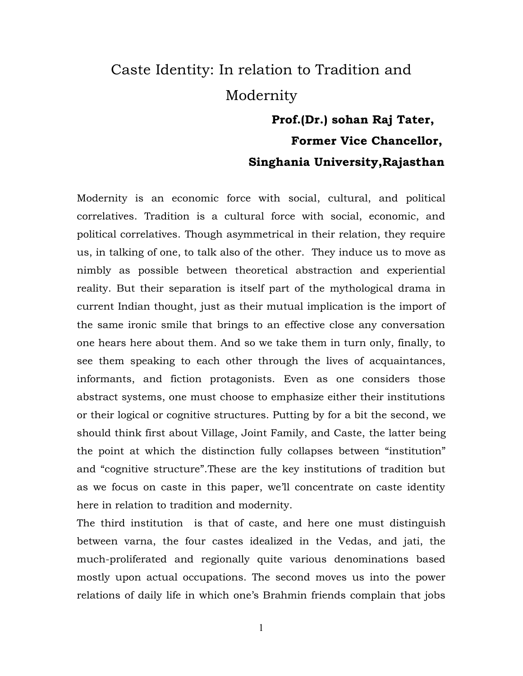## Caste Identity: In relation to Tradition and Modernity

## **Prof.(Dr.) sohan Raj Tater, Former Vice Chancellor, Singhania University,Rajasthan**

Modernity is an economic force with social, cultural, and political correlatives. Tradition is a cultural force with social, economic, and political correlatives. Though asymmetrical in their relation, they require us, in talking of one, to talk also of the other. They induce us to move as nimbly as possible between theoretical abstraction and experiential reality. But their separation is itself part of the mythological drama in current Indian thought, just as their mutual implication is the import of the same ironic smile that brings to an effective close any conversation one hears here about them. And so we take them in turn only, finally, to see them speaking to each other through the lives of acquaintances, informants, and fiction protagonists. Even as one considers those abstract systems, one must choose to emphasize either their institutions or their logical or cognitive structures. Putting by for a bit the second, we should think first about Village, Joint Family, and Caste, the latter being the point at which the distinction fully collapses between "institution" and "cognitive structure".These are the key institutions of tradition but as we focus on caste in this paper, we'll concentrate on caste identity here in relation to tradition and modernity.

The third institution is that of caste, and here one must distinguish between varna, the four castes idealized in the Vedas, and jati, the much-proliferated and regionally quite various denominations based mostly upon actual occupations. The second moves us into the power relations of daily life in which one's Brahmin friends complain that jobs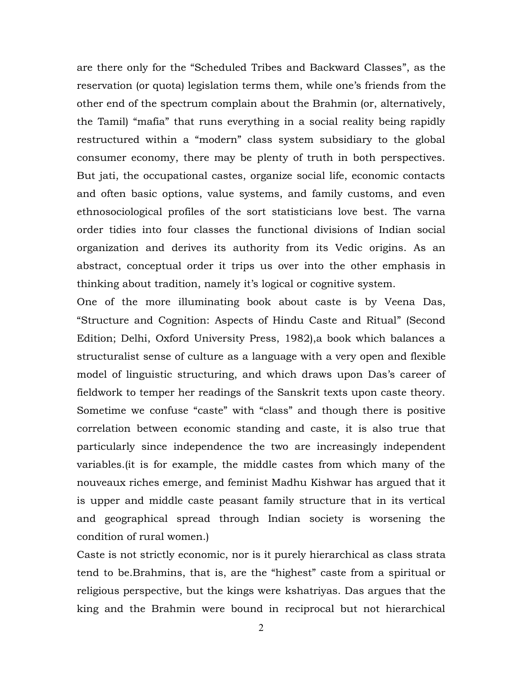are there only for the "Scheduled Tribes and Backward Classes", as the reservation (or quota) legislation terms them, while one's friends from the other end of the spectrum complain about the Brahmin (or, alternatively, the Tamil) "mafia" that runs everything in a social reality being rapidly restructured within a "modern" class system subsidiary to the global consumer economy, there may be plenty of truth in both perspectives. But jati, the occupational castes, organize social life, economic contacts and often basic options, value systems, and family customs, and even ethnosociological profiles of the sort statisticians love best. The varna order tidies into four classes the functional divisions of Indian social organization and derives its authority from its Vedic origins. As an abstract, conceptual order it trips us over into the other emphasis in thinking about tradition, namely it's logical or cognitive system.

One of the more illuminating book about caste is by Veena Das, "Structure and Cognition: Aspects of Hindu Caste and Ritual" (Second Edition; Delhi, Oxford University Press, 1982),a book which balances a structuralist sense of culture as a language with a very open and flexible model of linguistic structuring, and which draws upon Das's career of fieldwork to temper her readings of the Sanskrit texts upon caste theory. Sometime we confuse "caste" with "class" and though there is positive correlation between economic standing and caste, it is also true that particularly since independence the two are increasingly independent variables.(it is for example, the middle castes from which many of the nouveaux riches emerge, and feminist Madhu Kishwar has argued that it is upper and middle caste peasant family structure that in its vertical and geographical spread through Indian society is worsening the condition of rural women.)

Caste is not strictly economic, nor is it purely hierarchical as class strata tend to be.Brahmins, that is, are the "highest" caste from a spiritual or religious perspective, but the kings were kshatriyas. Das argues that the king and the Brahmin were bound in reciprocal but not hierarchical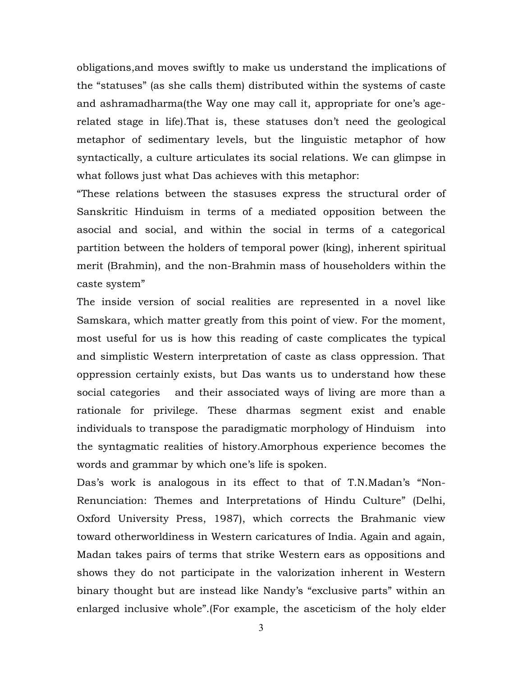obligations,and moves swiftly to make us understand the implications of the "statuses" (as she calls them) distributed within the systems of caste and ashramadharma(the Way one may call it, appropriate for one's agerelated stage in life).That is, these statuses don't need the geological metaphor of sedimentary levels, but the linguistic metaphor of how syntactically, a culture articulates its social relations. We can glimpse in what follows just what Das achieves with this metaphor:

"These relations between the stasuses express the structural order of Sanskritic Hinduism in terms of a mediated opposition between the asocial and social, and within the social in terms of a categorical partition between the holders of temporal power (king), inherent spiritual merit (Brahmin), and the non-Brahmin mass of householders within the caste system"

The inside version of social realities are represented in a novel like Samskara, which matter greatly from this point of view. For the moment, most useful for us is how this reading of caste complicates the typical and simplistic Western interpretation of caste as class oppression. That oppression certainly exists, but Das wants us to understand how these social categories and their associated ways of living are more than a rationale for privilege. These dharmas segment exist and enable individuals to transpose the paradigmatic morphology of Hinduism into the syntagmatic realities of history.Amorphous experience becomes the words and grammar by which one's life is spoken.

Das's work is analogous in its effect to that of T.N.Madan's "Non-Renunciation: Themes and Interpretations of Hindu Culture" (Delhi, Oxford University Press, 1987), which corrects the Brahmanic view toward otherworldiness in Western caricatures of India. Again and again, Madan takes pairs of terms that strike Western ears as oppositions and shows they do not participate in the valorization inherent in Western binary thought but are instead like Nandy's "exclusive parts" within an enlarged inclusive whole".(For example, the asceticism of the holy elder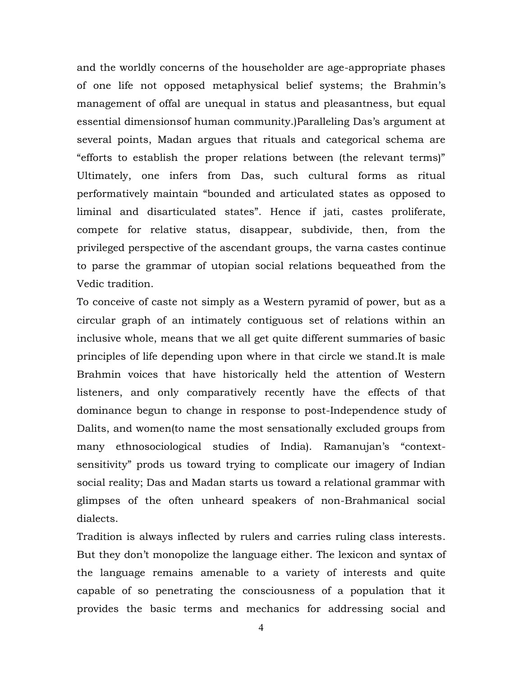and the worldly concerns of the householder are age-appropriate phases of one life not opposed metaphysical belief systems; the Brahmin's management of offal are unequal in status and pleasantness, but equal essential dimensionsof human community.)Paralleling Das's argument at several points, Madan argues that rituals and categorical schema are "efforts to establish the proper relations between (the relevant terms)" Ultimately, one infers from Das, such cultural forms as ritual performatively maintain "bounded and articulated states as opposed to liminal and disarticulated states". Hence if jati, castes proliferate, compete for relative status, disappear, subdivide, then, from the privileged perspective of the ascendant groups, the varna castes continue to parse the grammar of utopian social relations bequeathed from the Vedic tradition.

To conceive of caste not simply as a Western pyramid of power, but as a circular graph of an intimately contiguous set of relations within an inclusive whole, means that we all get quite different summaries of basic principles of life depending upon where in that circle we stand.It is male Brahmin voices that have historically held the attention of Western listeners, and only comparatively recently have the effects of that dominance begun to change in response to post-Independence study of Dalits, and women(to name the most sensationally excluded groups from many ethnosociological studies of India). Ramanujan's "contextsensitivity" prods us toward trying to complicate our imagery of Indian social reality; Das and Madan starts us toward a relational grammar with glimpses of the often unheard speakers of non-Brahmanical social dialects.

Tradition is always inflected by rulers and carries ruling class interests. But they don't monopolize the language either. The lexicon and syntax of the language remains amenable to a variety of interests and quite capable of so penetrating the consciousness of a population that it provides the basic terms and mechanics for addressing social and